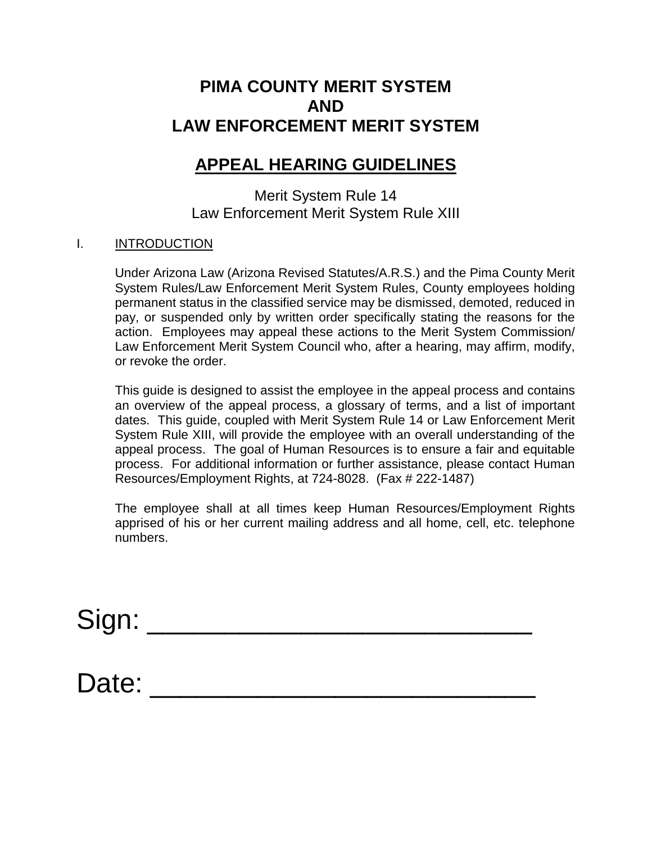# **PIMA COUNTY MERIT SYSTEM AND LAW ENFORCEMENT MERIT SYSTEM**

# **APPEAL HEARING GUIDELINES**

Merit System Rule 14 Law Enforcement Merit System Rule XIII

## I. INTRODUCTION

Under Arizona Law (Arizona Revised Statutes/A.R.S.) and the Pima County Merit System Rules/Law Enforcement Merit System Rules, County employees holding permanent status in the classified service may be dismissed, demoted, reduced in pay, or suspended only by written order specifically stating the reasons for the action. Employees may appeal these actions to the Merit System Commission/ Law Enforcement Merit System Council who, after a hearing, may affirm, modify, or revoke the order.

This guide is designed to assist the employee in the appeal process and contains an overview of the appeal process, a glossary of terms, and a list of important dates. This guide, coupled with Merit System Rule 14 or Law Enforcement Merit System Rule XIII, will provide the employee with an overall understanding of the appeal process. The goal of Human Resources is to ensure a fair and equitable process. For additional information or further assistance, please contact Human Resources/Employment Rights, at 724-8028. (Fax # 222-1487)

The employee shall at all times keep Human Resources/Employment Rights apprised of his or her current mailing address and all home, cell, etc. telephone numbers.

Sign: \_\_\_\_\_\_\_\_\_\_\_\_\_\_\_\_\_\_\_\_\_\_\_\_\_

Date: \_\_\_\_\_\_\_\_\_\_\_\_\_\_\_\_\_\_\_\_\_\_\_\_\_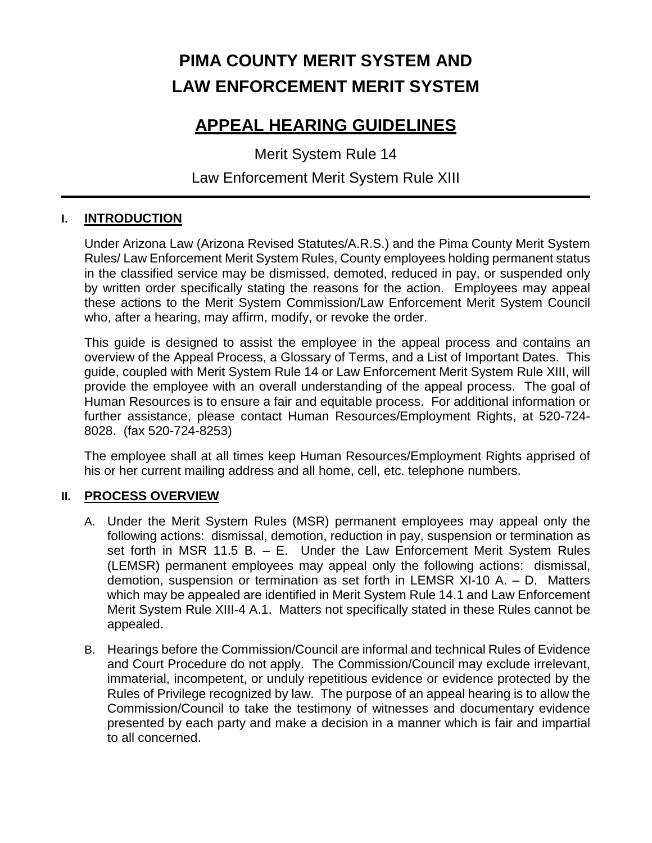# **PIMA COUNTY MERIT SYSTEM AND LAW ENFORCEMENT MERIT SYSTEM**

# **APPEAL HEARING GUIDELINES**

Merit System Rule 14

# Law Enforcement Merit System Rule XIII

# **I. INTRODUCTION**

Under Arizona Law (Arizona Revised Statutes/A.R.S.) and the Pima County Merit System Rules/ Law Enforcement Merit System Rules, County employees holding permanent status in the classified service may be dismissed, demoted, reduced in pay, or suspended only by written order specifically stating the reasons for the action. Employees may appeal these actions to the Merit System Commission/Law Enforcement Merit System Council who, after a hearing, may affirm, modify, or revoke the order.

This guide is designed to assist the employee in the appeal process and contains an overview of the Appeal Process, a Glossary of Terms, and a List of Important Dates. This guide, coupled with Merit System Rule 14 or Law Enforcement Merit System Rule XIII, will provide the employee with an overall understanding of the appeal process. The goal of Human Resources is to ensure a fair and equitable process. For additional information or further assistance, please contact Human Resources/Employment Rights, at 520-724- 8028. (fax 520-724-8253)

The employee shall at all times keep Human Resources/Employment Rights apprised of his or her current mailing address and all home, cell, etc. telephone numbers.

# **II. PROCESS OVERVIEW**

- A. Under the Merit System Rules (MSR) permanent employees may appeal only the following actions: dismissal, demotion, reduction in pay, suspension or termination as set forth in MSR 11.5 B. – E. Under the Law Enforcement Merit System Rules (LEMSR) permanent employees may appeal only the following actions: dismissal, demotion, suspension or termination as set forth in LEMSR XI-10 A. – D. Matters which may be appealed are identified in Merit System Rule 14.1 and Law Enforcement Merit System Rule XIII-4 A.1. Matters not specifically stated in these Rules cannot be appealed.
- B. Hearings before the Commission/Council are informal and technical Rules of Evidence and Court Procedure do not apply. The Commission/Council may exclude irrelevant, immaterial, incompetent, or unduly repetitious evidence or evidence protected by the Rules of Privilege recognized by law. The purpose of an appeal hearing is to allow the Commission/Council to take the testimony of witnesses and documentary evidence presented by each party and make a decision in a manner which is fair and impartial to all concerned.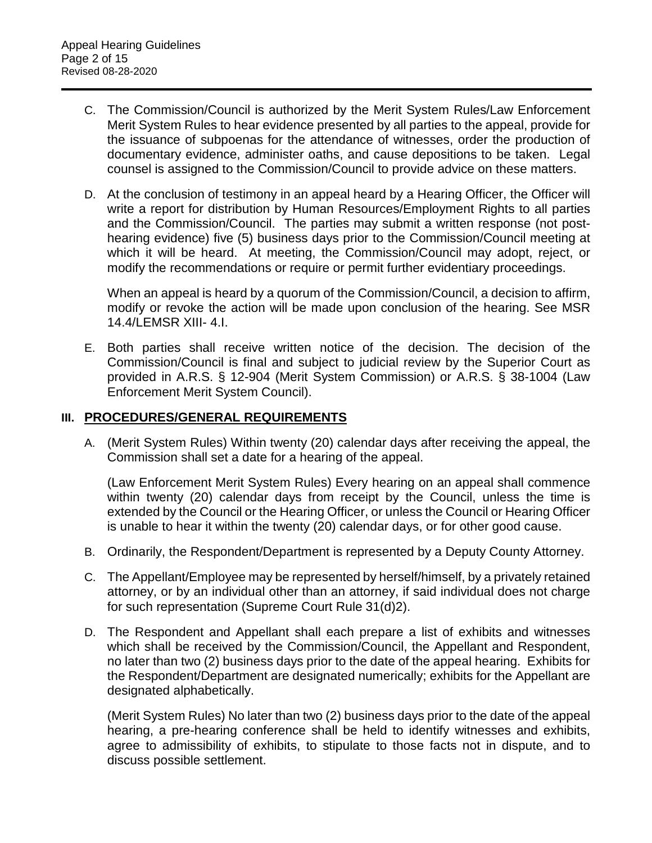- C. The Commission/Council is authorized by the Merit System Rules/Law Enforcement Merit System Rules to hear evidence presented by all parties to the appeal, provide for the issuance of subpoenas for the attendance of witnesses, order the production of documentary evidence, administer oaths, and cause depositions to be taken. Legal counsel is assigned to the Commission/Council to provide advice on these matters.
- D. At the conclusion of testimony in an appeal heard by a Hearing Officer, the Officer will write a report for distribution by Human Resources/Employment Rights to all parties and the Commission/Council. The parties may submit a written response (not posthearing evidence) five (5) business days prior to the Commission/Council meeting at which it will be heard. At meeting, the Commission/Council may adopt, reject, or modify the recommendations or require or permit further evidentiary proceedings.

When an appeal is heard by a quorum of the Commission/Council, a decision to affirm, modify or revoke the action will be made upon conclusion of the hearing. See MSR 14.4/LEMSR XIII- 4.I.

E. Both parties shall receive written notice of the decision. The decision of the Commission/Council is final and subject to judicial review by the Superior Court as provided in A.R.S. § 12-904 (Merit System Commission) or A.R.S. § 38-1004 (Law Enforcement Merit System Council).

## **III. PROCEDURES/GENERAL REQUIREMENTS**

A. (Merit System Rules) Within twenty (20) calendar days after receiving the appeal, the Commission shall set a date for a hearing of the appeal.

(Law Enforcement Merit System Rules) Every hearing on an appeal shall commence within twenty (20) calendar days from receipt by the Council, unless the time is extended by the Council or the Hearing Officer, or unless the Council or Hearing Officer is unable to hear it within the twenty (20) calendar days, or for other good cause.

- B. Ordinarily, the Respondent/Department is represented by a Deputy County Attorney.
- C. The Appellant/Employee may be represented by herself/himself, by a privately retained attorney, or by an individual other than an attorney, if said individual does not charge for such representation (Supreme Court Rule 31(d)2).
- D. The Respondent and Appellant shall each prepare a list of exhibits and witnesses which shall be received by the Commission/Council, the Appellant and Respondent, no later than two (2) business days prior to the date of the appeal hearing. Exhibits for the Respondent/Department are designated numerically; exhibits for the Appellant are designated alphabetically.

(Merit System Rules) No later than two (2) business days prior to the date of the appeal hearing, a pre-hearing conference shall be held to identify witnesses and exhibits, agree to admissibility of exhibits, to stipulate to those facts not in dispute, and to discuss possible settlement.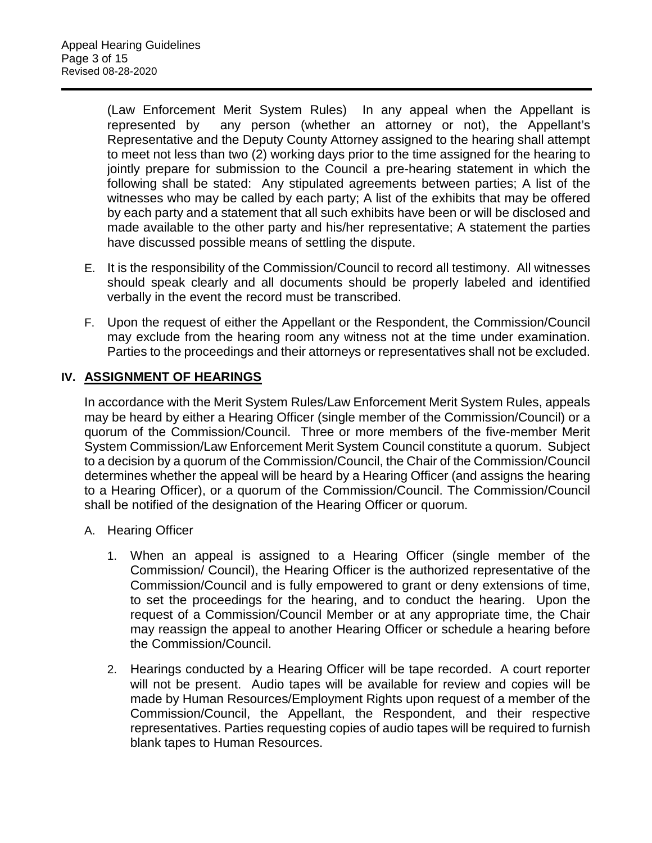(Law Enforcement Merit System Rules) In any appeal when the Appellant is represented by any person (whether an attorney or not), the Appellant's Representative and the Deputy County Attorney assigned to the hearing shall attempt to meet not less than two (2) working days prior to the time assigned for the hearing to jointly prepare for submission to the Council a pre-hearing statement in which the following shall be stated: Any stipulated agreements between parties; A list of the witnesses who may be called by each party; A list of the exhibits that may be offered by each party and a statement that all such exhibits have been or will be disclosed and made available to the other party and his/her representative; A statement the parties have discussed possible means of settling the dispute.

- E. It is the responsibility of the Commission/Council to record all testimony. All witnesses should speak clearly and all documents should be properly labeled and identified verbally in the event the record must be transcribed.
- F. Upon the request of either the Appellant or the Respondent, the Commission/Council may exclude from the hearing room any witness not at the time under examination. Parties to the proceedings and their attorneys or representatives shall not be excluded.

# **IV. ASSIGNMENT OF HEARINGS**

In accordance with the Merit System Rules/Law Enforcement Merit System Rules, appeals may be heard by either a Hearing Officer (single member of the Commission/Council) or a quorum of the Commission/Council. Three or more members of the five-member Merit System Commission/Law Enforcement Merit System Council constitute a quorum. Subject to a decision by a quorum of the Commission/Council, the Chair of the Commission/Council determines whether the appeal will be heard by a Hearing Officer (and assigns the hearing to a Hearing Officer), or a quorum of the Commission/Council. The Commission/Council shall be notified of the designation of the Hearing Officer or quorum.

- A. Hearing Officer
	- 1. When an appeal is assigned to a Hearing Officer (single member of the Commission/ Council), the Hearing Officer is the authorized representative of the Commission/Council and is fully empowered to grant or deny extensions of time, to set the proceedings for the hearing, and to conduct the hearing. Upon the request of a Commission/Council Member or at any appropriate time, the Chair may reassign the appeal to another Hearing Officer or schedule a hearing before the Commission/Council.
	- 2. Hearings conducted by a Hearing Officer will be tape recorded. A court reporter will not be present. Audio tapes will be available for review and copies will be made by Human Resources/Employment Rights upon request of a member of the Commission/Council, the Appellant, the Respondent, and their respective representatives. Parties requesting copies of audio tapes will be required to furnish blank tapes to Human Resources.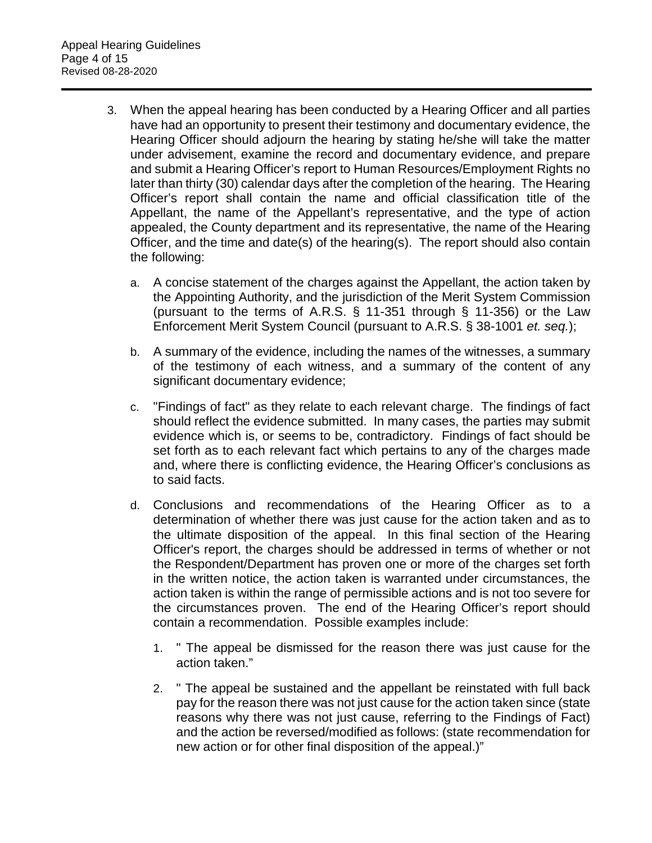- 3. When the appeal hearing has been conducted by a Hearing Officer and all parties have had an opportunity to present their testimony and documentary evidence, the Hearing Officer should adjourn the hearing by stating he/she will take the matter under advisement, examine the record and documentary evidence, and prepare and submit a Hearing Officer's report to Human Resources/Employment Rights no later than thirty (30) calendar days after the completion of the hearing. The Hearing Officer's report shall contain the name and official classification title of the Appellant, the name of the Appellant's representative, and the type of action appealed, the County department and its representative, the name of the Hearing Officer, and the time and date(s) of the hearing(s). The report should also contain the following:
	- a. A concise statement of the charges against the Appellant, the action taken by the Appointing Authority, and the jurisdiction of the Merit System Commission (pursuant to the terms of A.R.S. § 11-351 through § 11-356) or the Law Enforcement Merit System Council (pursuant to A.R.S. § 38-1001 *et. seq.*);
	- b. A summary of the evidence, including the names of the witnesses, a summary of the testimony of each witness, and a summary of the content of any significant documentary evidence;
	- c. "Findings of fact" as they relate to each relevant charge. The findings of fact should reflect the evidence submitted. In many cases, the parties may submit evidence which is, or seems to be, contradictory. Findings of fact should be set forth as to each relevant fact which pertains to any of the charges made and, where there is conflicting evidence, the Hearing Officer's conclusions as to said facts.
	- d. Conclusions and recommendations of the Hearing Officer as to a determination of whether there was just cause for the action taken and as to the ultimate disposition of the appeal. In this final section of the Hearing Officer's report, the charges should be addressed in terms of whether or not the Respondent/Department has proven one or more of the charges set forth in the written notice, the action taken is warranted under circumstances, the action taken is within the range of permissible actions and is not too severe for the circumstances proven. The end of the Hearing Officer's report should contain a recommendation. Possible examples include:
		- 1. " The appeal be dismissed for the reason there was just cause for the action taken."
		- 2. " The appeal be sustained and the appellant be reinstated with full back pay for the reason there was not just cause for the action taken since (state reasons why there was not just cause, referring to the Findings of Fact) and the action be reversed/modified as follows: (state recommendation for new action or for other final disposition of the appeal.)"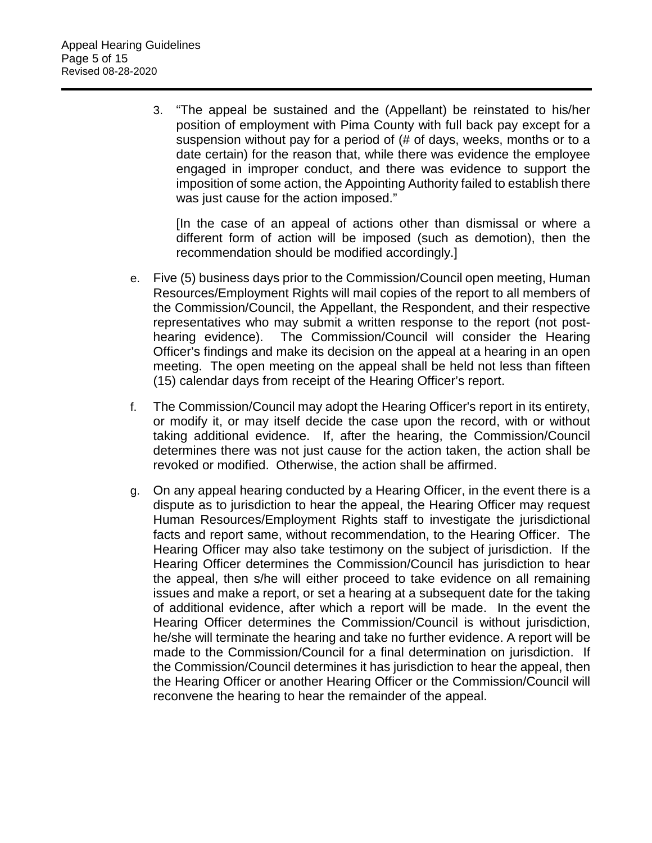3. "The appeal be sustained and the (Appellant) be reinstated to his/her position of employment with Pima County with full back pay except for a suspension without pay for a period of (# of days, weeks, months or to a date certain) for the reason that, while there was evidence the employee engaged in improper conduct, and there was evidence to support the imposition of some action, the Appointing Authority failed to establish there was just cause for the action imposed."

[In the case of an appeal of actions other than dismissal or where a different form of action will be imposed (such as demotion), then the recommendation should be modified accordingly.]

- e. Five (5) business days prior to the Commission/Council open meeting, Human Resources/Employment Rights will mail copies of the report to all members of the Commission/Council, the Appellant, the Respondent, and their respective representatives who may submit a written response to the report (not posthearing evidence). The Commission/Council will consider the Hearing Officer's findings and make its decision on the appeal at a hearing in an open meeting. The open meeting on the appeal shall be held not less than fifteen (15) calendar days from receipt of the Hearing Officer's report.
- f. The Commission/Council may adopt the Hearing Officer's report in its entirety, or modify it, or may itself decide the case upon the record, with or without taking additional evidence. If, after the hearing, the Commission/Council determines there was not just cause for the action taken, the action shall be revoked or modified. Otherwise, the action shall be affirmed.
- g. On any appeal hearing conducted by a Hearing Officer, in the event there is a dispute as to jurisdiction to hear the appeal, the Hearing Officer may request Human Resources/Employment Rights staff to investigate the jurisdictional facts and report same, without recommendation, to the Hearing Officer. The Hearing Officer may also take testimony on the subject of jurisdiction. If the Hearing Officer determines the Commission/Council has jurisdiction to hear the appeal, then s/he will either proceed to take evidence on all remaining issues and make a report, or set a hearing at a subsequent date for the taking of additional evidence, after which a report will be made. In the event the Hearing Officer determines the Commission/Council is without jurisdiction, he/she will terminate the hearing and take no further evidence. A report will be made to the Commission/Council for a final determination on jurisdiction. If the Commission/Council determines it has jurisdiction to hear the appeal, then the Hearing Officer or another Hearing Officer or the Commission/Council will reconvene the hearing to hear the remainder of the appeal.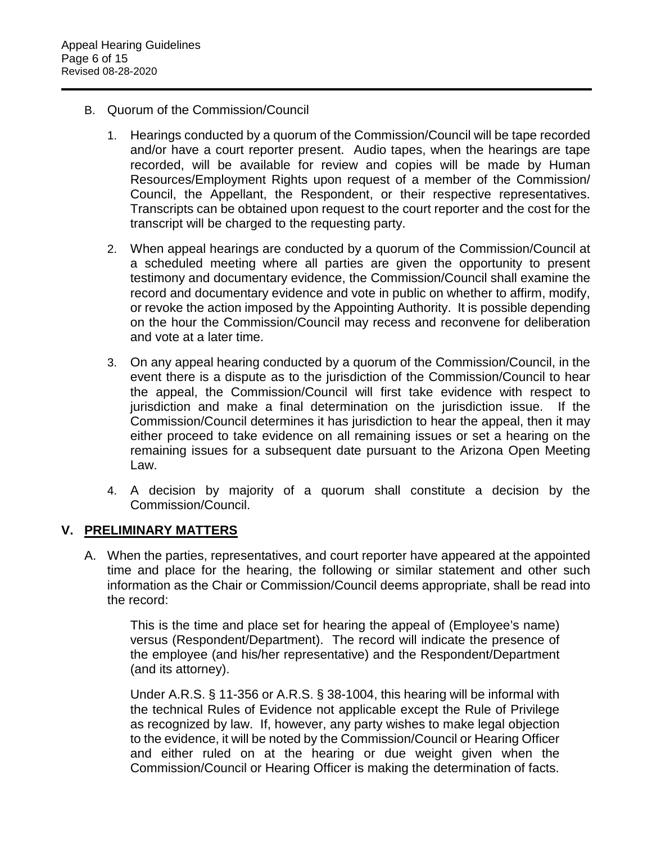- B. Quorum of the Commission/Council
	- 1. Hearings conducted by a quorum of the Commission/Council will be tape recorded and/or have a court reporter present. Audio tapes, when the hearings are tape recorded, will be available for review and copies will be made by Human Resources/Employment Rights upon request of a member of the Commission/ Council, the Appellant, the Respondent, or their respective representatives. Transcripts can be obtained upon request to the court reporter and the cost for the transcript will be charged to the requesting party.
	- 2. When appeal hearings are conducted by a quorum of the Commission/Council at a scheduled meeting where all parties are given the opportunity to present testimony and documentary evidence, the Commission/Council shall examine the record and documentary evidence and vote in public on whether to affirm, modify, or revoke the action imposed by the Appointing Authority. It is possible depending on the hour the Commission/Council may recess and reconvene for deliberation and vote at a later time.
	- 3. On any appeal hearing conducted by a quorum of the Commission/Council, in the event there is a dispute as to the jurisdiction of the Commission/Council to hear the appeal, the Commission/Council will first take evidence with respect to jurisdiction and make a final determination on the jurisdiction issue. If the Commission/Council determines it has jurisdiction to hear the appeal, then it may either proceed to take evidence on all remaining issues or set a hearing on the remaining issues for a subsequent date pursuant to the Arizona Open Meeting Law.
	- 4. A decision by majority of a quorum shall constitute a decision by the Commission/Council.

#### **V. PRELIMINARY MATTERS**

A. When the parties, representatives, and court reporter have appeared at the appointed time and place for the hearing, the following or similar statement and other such information as the Chair or Commission/Council deems appropriate, shall be read into the record:

This is the time and place set for hearing the appeal of (Employee's name) versus (Respondent/Department). The record will indicate the presence of the employee (and his/her representative) and the Respondent/Department (and its attorney).

Under A.R.S. § 11-356 or A.R.S. § 38-1004, this hearing will be informal with the technical Rules of Evidence not applicable except the Rule of Privilege as recognized by law. If, however, any party wishes to make legal objection to the evidence, it will be noted by the Commission/Council or Hearing Officer and either ruled on at the hearing or due weight given when the Commission/Council or Hearing Officer is making the determination of facts.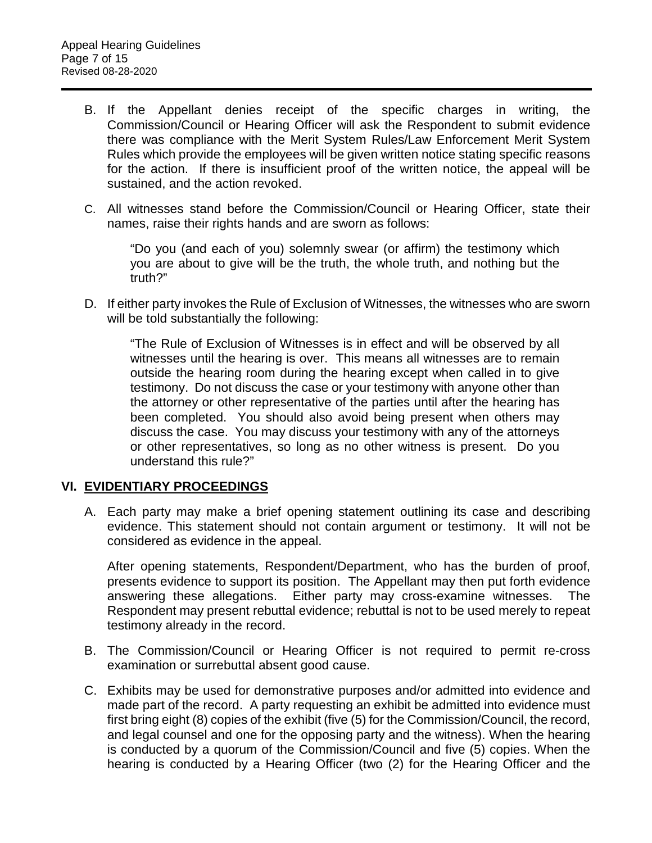- B. If the Appellant denies receipt of the specific charges in writing, the Commission/Council or Hearing Officer will ask the Respondent to submit evidence there was compliance with the Merit System Rules/Law Enforcement Merit System Rules which provide the employees will be given written notice stating specific reasons for the action. If there is insufficient proof of the written notice, the appeal will be sustained, and the action revoked.
- C. All witnesses stand before the Commission/Council or Hearing Officer, state their names, raise their rights hands and are sworn as follows:

"Do you (and each of you) solemnly swear (or affirm) the testimony which you are about to give will be the truth, the whole truth, and nothing but the truth?"

D. If either party invokes the Rule of Exclusion of Witnesses, the witnesses who are sworn will be told substantially the following:

"The Rule of Exclusion of Witnesses is in effect and will be observed by all witnesses until the hearing is over. This means all witnesses are to remain outside the hearing room during the hearing except when called in to give testimony. Do not discuss the case or your testimony with anyone other than the attorney or other representative of the parties until after the hearing has been completed. You should also avoid being present when others may discuss the case. You may discuss your testimony with any of the attorneys or other representatives, so long as no other witness is present. Do you understand this rule?"

#### **VI. EVIDENTIARY PROCEEDINGS**

A. Each party may make a brief opening statement outlining its case and describing evidence. This statement should not contain argument or testimony. It will not be considered as evidence in the appeal.

After opening statements, Respondent/Department, who has the burden of proof, presents evidence to support its position. The Appellant may then put forth evidence answering these allegations. Either party may cross-examine witnesses. The Respondent may present rebuttal evidence; rebuttal is not to be used merely to repeat testimony already in the record.

- B. The Commission/Council or Hearing Officer is not required to permit re-cross examination or surrebuttal absent good cause.
- C. Exhibits may be used for demonstrative purposes and/or admitted into evidence and made part of the record. A party requesting an exhibit be admitted into evidence must first bring eight (8) copies of the exhibit (five (5) for the Commission/Council, the record, and legal counsel and one for the opposing party and the witness). When the hearing is conducted by a quorum of the Commission/Council and five (5) copies. When the hearing is conducted by a Hearing Officer (two (2) for the Hearing Officer and the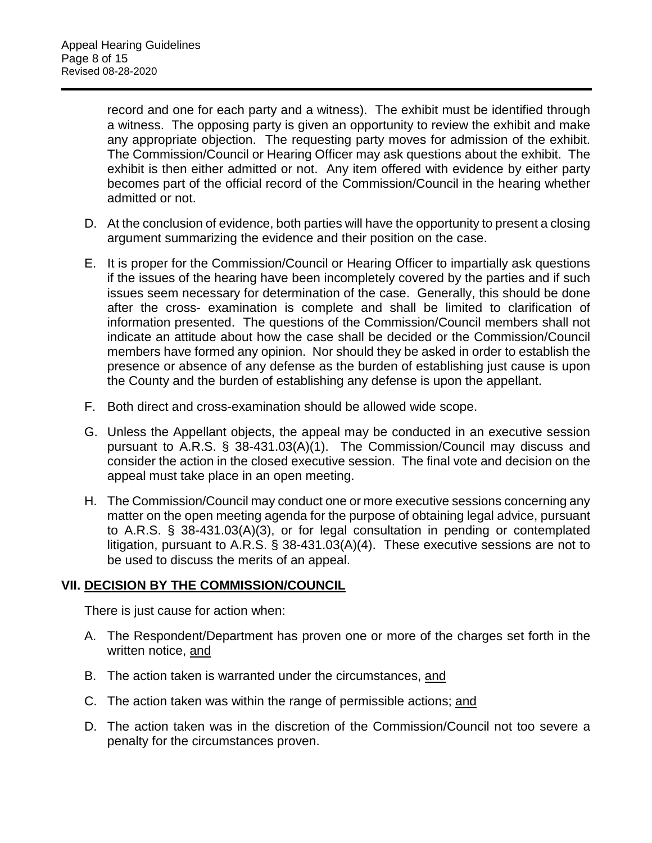record and one for each party and a witness). The exhibit must be identified through a witness. The opposing party is given an opportunity to review the exhibit and make any appropriate objection. The requesting party moves for admission of the exhibit. The Commission/Council or Hearing Officer may ask questions about the exhibit. The exhibit is then either admitted or not. Any item offered with evidence by either party becomes part of the official record of the Commission/Council in the hearing whether admitted or not.

- D. At the conclusion of evidence, both parties will have the opportunity to present a closing argument summarizing the evidence and their position on the case.
- E. It is proper for the Commission/Council or Hearing Officer to impartially ask questions if the issues of the hearing have been incompletely covered by the parties and if such issues seem necessary for determination of the case. Generally, this should be done after the cross- examination is complete and shall be limited to clarification of information presented. The questions of the Commission/Council members shall not indicate an attitude about how the case shall be decided or the Commission/Council members have formed any opinion. Nor should they be asked in order to establish the presence or absence of any defense as the burden of establishing just cause is upon the County and the burden of establishing any defense is upon the appellant.
- F. Both direct and cross-examination should be allowed wide scope.
- G. Unless the Appellant objects, the appeal may be conducted in an executive session pursuant to A.R.S. § 38-431.03(A)(1). The Commission/Council may discuss and consider the action in the closed executive session. The final vote and decision on the appeal must take place in an open meeting.
- H. The Commission/Council may conduct one or more executive sessions concerning any matter on the open meeting agenda for the purpose of obtaining legal advice, pursuant to A.R.S. § 38-431.03(A)(3), or for legal consultation in pending or contemplated litigation, pursuant to A.R.S. § 38-431.03(A)(4). These executive sessions are not to be used to discuss the merits of an appeal.

#### **VII. DECISION BY THE COMMISSION/COUNCIL**

There is just cause for action when:

- A. The Respondent/Department has proven one or more of the charges set forth in the written notice, and
- B. The action taken is warranted under the circumstances, and
- C. The action taken was within the range of permissible actions; and
- D. The action taken was in the discretion of the Commission/Council not too severe a penalty for the circumstances proven.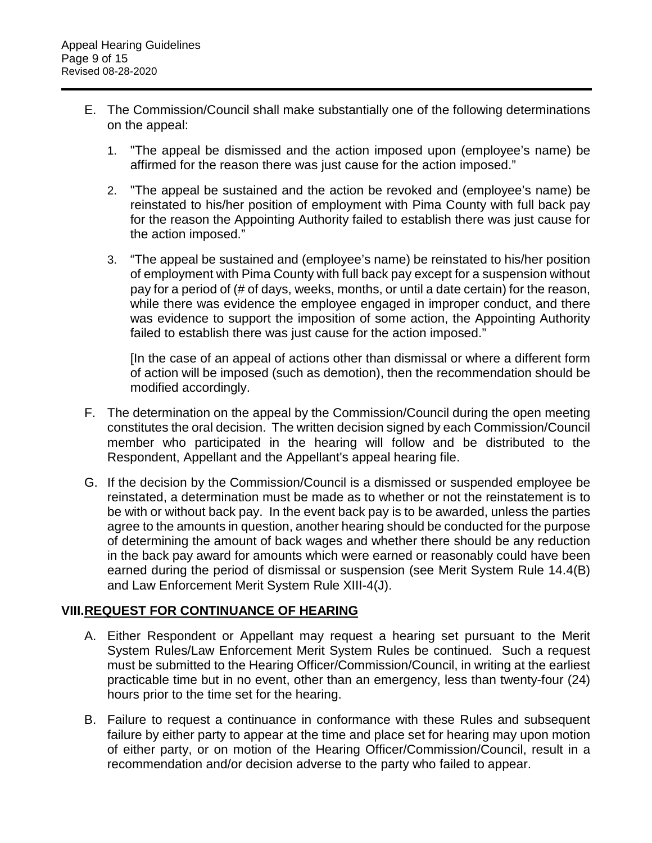- E. The Commission/Council shall make substantially one of the following determinations on the appeal:
	- 1. "The appeal be dismissed and the action imposed upon (employee's name) be affirmed for the reason there was just cause for the action imposed."
	- 2. "The appeal be sustained and the action be revoked and (employee's name) be reinstated to his/her position of employment with Pima County with full back pay for the reason the Appointing Authority failed to establish there was just cause for the action imposed."
	- 3. "The appeal be sustained and (employee's name) be reinstated to his/her position of employment with Pima County with full back pay except for a suspension without pay for a period of (# of days, weeks, months, or until a date certain) for the reason, while there was evidence the employee engaged in improper conduct, and there was evidence to support the imposition of some action, the Appointing Authority failed to establish there was just cause for the action imposed."

[In the case of an appeal of actions other than dismissal or where a different form of action will be imposed (such as demotion), then the recommendation should be modified accordingly.

- F. The determination on the appeal by the Commission/Council during the open meeting constitutes the oral decision. The written decision signed by each Commission/Council member who participated in the hearing will follow and be distributed to the Respondent, Appellant and the Appellant's appeal hearing file.
- G. If the decision by the Commission/Council is a dismissed or suspended employee be reinstated, a determination must be made as to whether or not the reinstatement is to be with or without back pay. In the event back pay is to be awarded, unless the parties agree to the amounts in question, another hearing should be conducted for the purpose of determining the amount of back wages and whether there should be any reduction in the back pay award for amounts which were earned or reasonably could have been earned during the period of dismissal or suspension (see Merit System Rule 14.4(B) and Law Enforcement Merit System Rule XIII-4(J).

# **VIII.REQUEST FOR CONTINUANCE OF HEARING**

- A. Either Respondent or Appellant may request a hearing set pursuant to the Merit System Rules/Law Enforcement Merit System Rules be continued. Such a request must be submitted to the Hearing Officer/Commission/Council, in writing at the earliest practicable time but in no event, other than an emergency, less than twenty-four (24) hours prior to the time set for the hearing.
- B. Failure to request a continuance in conformance with these Rules and subsequent failure by either party to appear at the time and place set for hearing may upon motion of either party, or on motion of the Hearing Officer/Commission/Council, result in a recommendation and/or decision adverse to the party who failed to appear.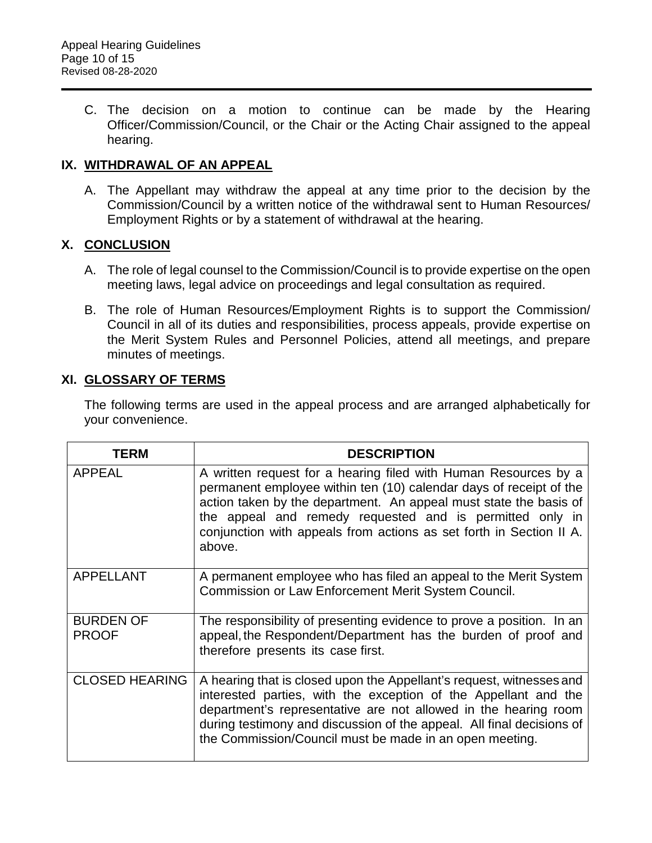C. The decision on a motion to continue can be made by the Hearing Officer/Commission/Council, or the Chair or the Acting Chair assigned to the appeal hearing.

## **IX. WITHDRAWAL OF AN APPEAL**

A. The Appellant may withdraw the appeal at any time prior to the decision by the Commission/Council by a written notice of the withdrawal sent to Human Resources/ Employment Rights or by a statement of withdrawal at the hearing.

## **X. CONCLUSION**

- A. The role of legal counsel to the Commission/Council is to provide expertise on the open meeting laws, legal advice on proceedings and legal consultation as required.
- B. The role of Human Resources/Employment Rights is to support the Commission/ Council in all of its duties and responsibilities, process appeals, provide expertise on the Merit System Rules and Personnel Policies, attend all meetings, and prepare minutes of meetings.

## **XI. GLOSSARY OF TERMS**

The following terms are used in the appeal process and are arranged alphabetically for your convenience.

| <b>TERM</b>                      | <b>DESCRIPTION</b>                                                                                                                                                                                                                                                                                                                                      |
|----------------------------------|---------------------------------------------------------------------------------------------------------------------------------------------------------------------------------------------------------------------------------------------------------------------------------------------------------------------------------------------------------|
| <b>APPEAL</b>                    | A written request for a hearing filed with Human Resources by a<br>permanent employee within ten (10) calendar days of receipt of the<br>action taken by the department. An appeal must state the basis of<br>the appeal and remedy requested and is permitted only in<br>conjunction with appeals from actions as set forth in Section II A.<br>above. |
| <b>APPELLANT</b>                 | A permanent employee who has filed an appeal to the Merit System<br>Commission or Law Enforcement Merit System Council.                                                                                                                                                                                                                                 |
| <b>BURDEN OF</b><br><b>PROOF</b> | The responsibility of presenting evidence to prove a position. In an<br>appeal, the Respondent/Department has the burden of proof and<br>therefore presents its case first.                                                                                                                                                                             |
| <b>CLOSED HEARING</b>            | A hearing that is closed upon the Appellant's request, witnesses and<br>interested parties, with the exception of the Appellant and the<br>department's representative are not allowed in the hearing room<br>during testimony and discussion of the appeal. All final decisions of<br>the Commission/Council must be made in an open meeting.          |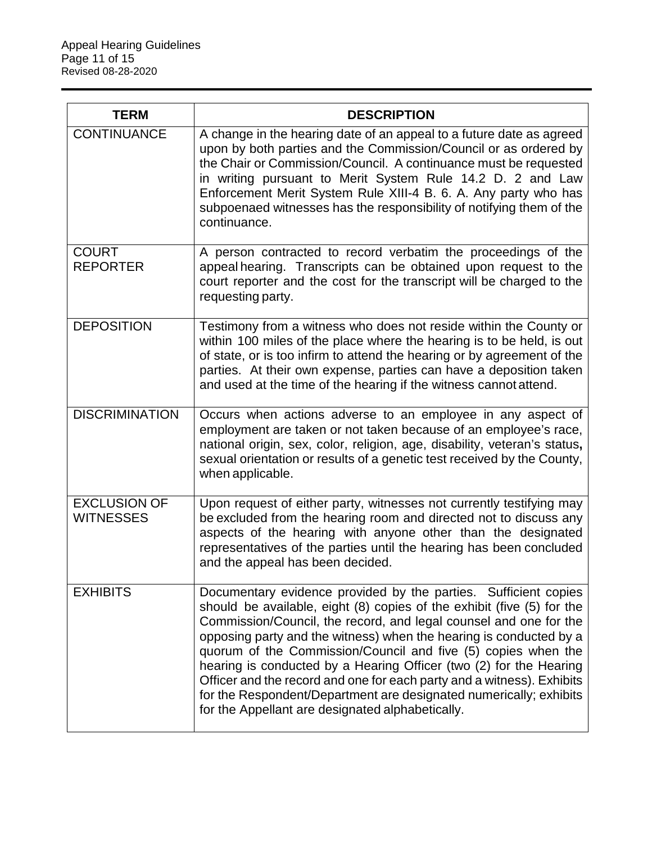| <b>TERM</b>                             | <b>DESCRIPTION</b>                                                                                                                                                                                                                                                                                                                                                                                                                                                                                                                                                                                                              |
|-----------------------------------------|---------------------------------------------------------------------------------------------------------------------------------------------------------------------------------------------------------------------------------------------------------------------------------------------------------------------------------------------------------------------------------------------------------------------------------------------------------------------------------------------------------------------------------------------------------------------------------------------------------------------------------|
| <b>CONTINUANCE</b>                      | A change in the hearing date of an appeal to a future date as agreed<br>upon by both parties and the Commission/Council or as ordered by<br>the Chair or Commission/Council. A continuance must be requested<br>in writing pursuant to Merit System Rule 14.2 D. 2 and Law<br>Enforcement Merit System Rule XIII-4 B. 6. A. Any party who has<br>subpoenaed witnesses has the responsibility of notifying them of the<br>continuance.                                                                                                                                                                                           |
| <b>COURT</b><br><b>REPORTER</b>         | A person contracted to record verbatim the proceedings of the<br>appeal hearing. Transcripts can be obtained upon request to the<br>court reporter and the cost for the transcript will be charged to the<br>requesting party.                                                                                                                                                                                                                                                                                                                                                                                                  |
| <b>DEPOSITION</b>                       | Testimony from a witness who does not reside within the County or<br>within 100 miles of the place where the hearing is to be held, is out<br>of state, or is too infirm to attend the hearing or by agreement of the<br>parties. At their own expense, parties can have a deposition taken<br>and used at the time of the hearing if the witness cannot attend.                                                                                                                                                                                                                                                                |
| <b>DISCRIMINATION</b>                   | Occurs when actions adverse to an employee in any aspect of<br>employment are taken or not taken because of an employee's race,<br>national origin, sex, color, religion, age, disability, veteran's status,<br>sexual orientation or results of a genetic test received by the County,<br>when applicable.                                                                                                                                                                                                                                                                                                                     |
| <b>EXCLUSION OF</b><br><b>WITNESSES</b> | Upon request of either party, witnesses not currently testifying may<br>be excluded from the hearing room and directed not to discuss any<br>aspects of the hearing with anyone other than the designated<br>representatives of the parties until the hearing has been concluded<br>and the appeal has been decided.                                                                                                                                                                                                                                                                                                            |
| <b>EXHIBITS</b>                         | Documentary evidence provided by the parties. Sufficient copies<br>should be available, eight (8) copies of the exhibit (five (5) for the<br>Commission/Council, the record, and legal counsel and one for the<br>opposing party and the witness) when the hearing is conducted by a<br>quorum of the Commission/Council and five (5) copies when the<br>hearing is conducted by a Hearing Officer (two (2) for the Hearing<br>Officer and the record and one for each party and a witness). Exhibits<br>for the Respondent/Department are designated numerically; exhibits<br>for the Appellant are designated alphabetically. |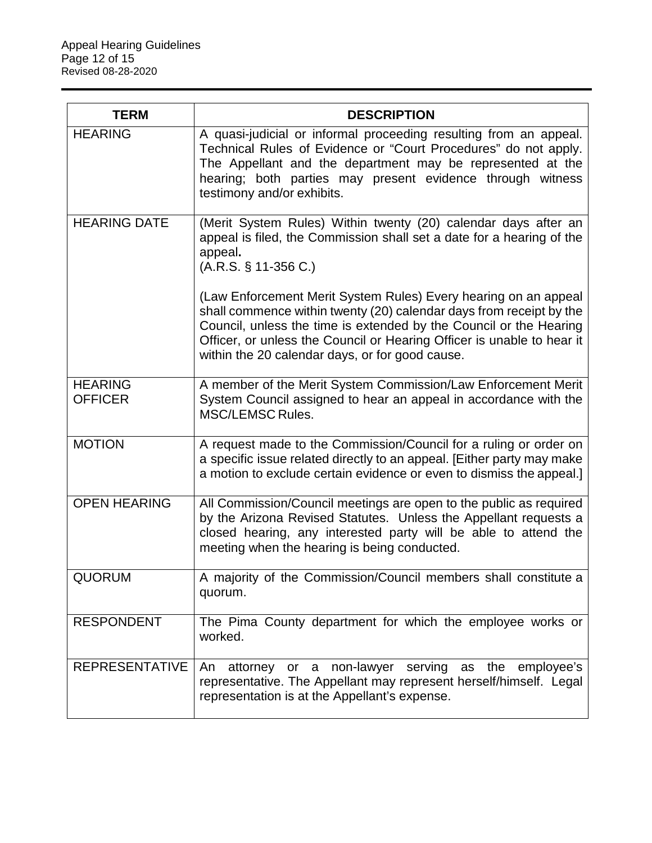| <b>TERM</b>                      | <b>DESCRIPTION</b>                                                                                                                                                                                                                                                                                                                        |
|----------------------------------|-------------------------------------------------------------------------------------------------------------------------------------------------------------------------------------------------------------------------------------------------------------------------------------------------------------------------------------------|
| <b>HEARING</b>                   | A quasi-judicial or informal proceeding resulting from an appeal.<br>Technical Rules of Evidence or "Court Procedures" do not apply.<br>The Appellant and the department may be represented at the<br>hearing; both parties may present evidence through witness<br>testimony and/or exhibits.                                            |
| <b>HEARING DATE</b>              | (Merit System Rules) Within twenty (20) calendar days after an<br>appeal is filed, the Commission shall set a date for a hearing of the<br>appeal.<br>$(A.R.S. § 11-356 C.)$                                                                                                                                                              |
|                                  | (Law Enforcement Merit System Rules) Every hearing on an appeal<br>shall commence within twenty (20) calendar days from receipt by the<br>Council, unless the time is extended by the Council or the Hearing<br>Officer, or unless the Council or Hearing Officer is unable to hear it<br>within the 20 calendar days, or for good cause. |
| <b>HEARING</b><br><b>OFFICER</b> | A member of the Merit System Commission/Law Enforcement Merit<br>System Council assigned to hear an appeal in accordance with the<br><b>MSC/LEMSC Rules.</b>                                                                                                                                                                              |
| <b>MOTION</b>                    | A request made to the Commission/Council for a ruling or order on<br>a specific issue related directly to an appeal. [Either party may make<br>a motion to exclude certain evidence or even to dismiss the appeal.]                                                                                                                       |
| <b>OPEN HEARING</b>              | All Commission/Council meetings are open to the public as required<br>by the Arizona Revised Statutes. Unless the Appellant requests a<br>closed hearing, any interested party will be able to attend the<br>meeting when the hearing is being conducted.                                                                                 |
| <b>QUORUM</b>                    | A majority of the Commission/Council members shall constitute a<br>quorum.                                                                                                                                                                                                                                                                |
| <b>RESPONDENT</b>                | The Pima County department for which the employee works or<br>worked.                                                                                                                                                                                                                                                                     |
| <b>REPRESENTATIVE</b>            | attorney or a non-lawyer serving as the employee's<br>An<br>representative. The Appellant may represent herself/himself. Legal<br>representation is at the Appellant's expense.                                                                                                                                                           |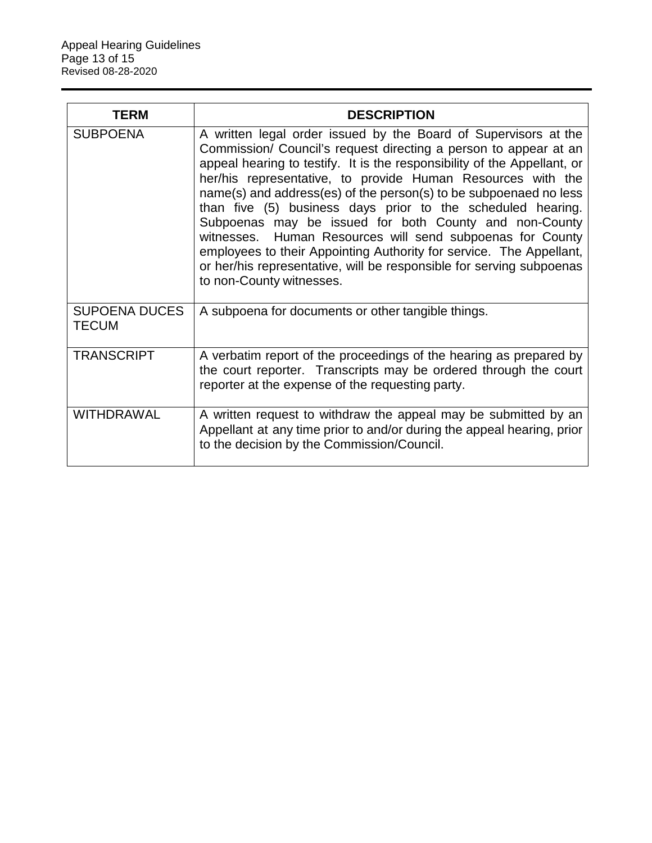| <b>TERM</b>                          | <b>DESCRIPTION</b>                                                                                                                                                                                                                                                                                                                                                                                                                                                                                                                                                                                                                                                                                                   |
|--------------------------------------|----------------------------------------------------------------------------------------------------------------------------------------------------------------------------------------------------------------------------------------------------------------------------------------------------------------------------------------------------------------------------------------------------------------------------------------------------------------------------------------------------------------------------------------------------------------------------------------------------------------------------------------------------------------------------------------------------------------------|
| <b>SUBPOENA</b>                      | A written legal order issued by the Board of Supervisors at the<br>Commission/ Council's request directing a person to appear at an<br>appeal hearing to testify. It is the responsibility of the Appellant, or<br>her/his representative, to provide Human Resources with the<br>name(s) and address(es) of the person(s) to be subpoenaed no less<br>than five (5) business days prior to the scheduled hearing.<br>Subpoenas may be issued for both County and non-County<br>witnesses. Human Resources will send subpoenas for County<br>employees to their Appointing Authority for service. The Appellant,<br>or her/his representative, will be responsible for serving subpoenas<br>to non-County witnesses. |
| <b>SUPOENA DUCES</b><br><b>TECUM</b> | A subpoena for documents or other tangible things.                                                                                                                                                                                                                                                                                                                                                                                                                                                                                                                                                                                                                                                                   |
| <b>TRANSCRIPT</b>                    | A verbatim report of the proceedings of the hearing as prepared by<br>the court reporter. Transcripts may be ordered through the court<br>reporter at the expense of the requesting party.                                                                                                                                                                                                                                                                                                                                                                                                                                                                                                                           |
| <b>WITHDRAWAL</b>                    | A written request to withdraw the appeal may be submitted by an<br>Appellant at any time prior to and/or during the appeal hearing, prior<br>to the decision by the Commission/Council.                                                                                                                                                                                                                                                                                                                                                                                                                                                                                                                              |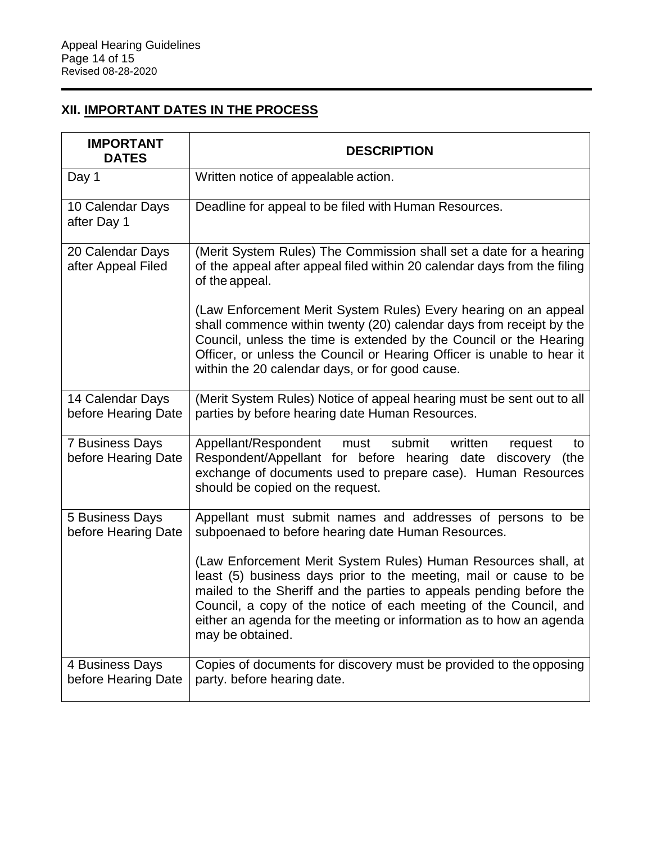# **XII. IMPORTANT DATES IN THE PROCESS**

| <b>IMPORTANT</b><br><b>DATES</b>              | <b>DESCRIPTION</b>                                                                                                                                                                                                                                                                                                                                                         |
|-----------------------------------------------|----------------------------------------------------------------------------------------------------------------------------------------------------------------------------------------------------------------------------------------------------------------------------------------------------------------------------------------------------------------------------|
| Day 1                                         | Written notice of appealable action.                                                                                                                                                                                                                                                                                                                                       |
| 10 Calendar Days<br>after Day 1               | Deadline for appeal to be filed with Human Resources.                                                                                                                                                                                                                                                                                                                      |
| 20 Calendar Days<br>after Appeal Filed        | (Merit System Rules) The Commission shall set a date for a hearing<br>of the appeal after appeal filed within 20 calendar days from the filing<br>of the appeal.                                                                                                                                                                                                           |
|                                               | (Law Enforcement Merit System Rules) Every hearing on an appeal<br>shall commence within twenty (20) calendar days from receipt by the<br>Council, unless the time is extended by the Council or the Hearing<br>Officer, or unless the Council or Hearing Officer is unable to hear it<br>within the 20 calendar days, or for good cause.                                  |
| 14 Calendar Days<br>before Hearing Date       | (Merit System Rules) Notice of appeal hearing must be sent out to all<br>parties by before hearing date Human Resources.                                                                                                                                                                                                                                                   |
| <b>7 Business Days</b><br>before Hearing Date | submit<br>Appellant/Respondent must<br>written<br>request<br>to<br>Respondent/Appellant for before hearing date discovery<br>(the<br>exchange of documents used to prepare case). Human Resources<br>should be copied on the request.                                                                                                                                      |
| 5 Business Days<br>before Hearing Date        | Appellant must submit names and addresses of persons to be<br>subpoenaed to before hearing date Human Resources.                                                                                                                                                                                                                                                           |
|                                               | (Law Enforcement Merit System Rules) Human Resources shall, at<br>least (5) business days prior to the meeting, mail or cause to be<br>mailed to the Sheriff and the parties to appeals pending before the<br>Council, a copy of the notice of each meeting of the Council, and<br>either an agenda for the meeting or information as to how an agenda<br>may be obtained. |
| 4 Business Days<br>before Hearing Date        | Copies of documents for discovery must be provided to the opposing<br>party. before hearing date.                                                                                                                                                                                                                                                                          |